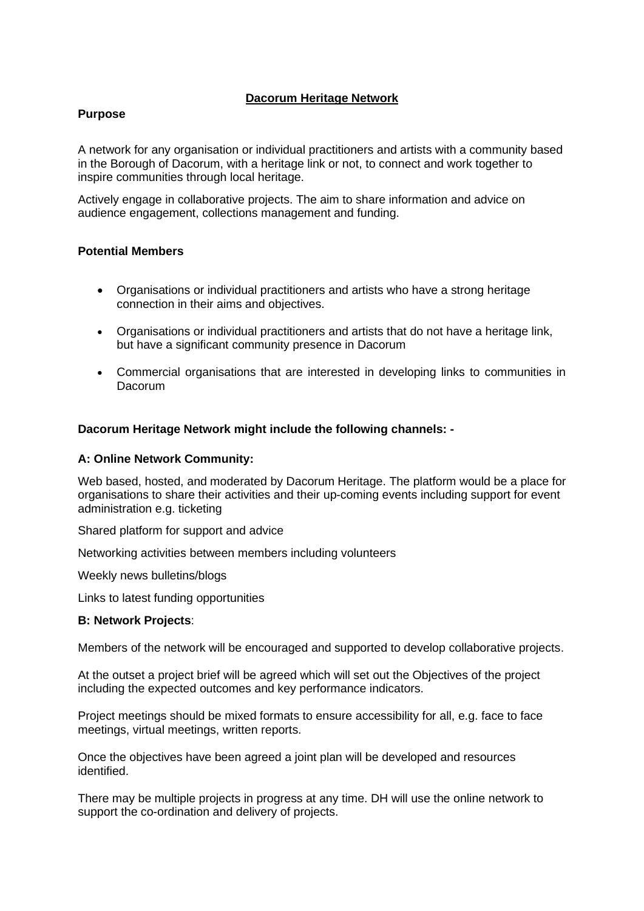# **Dacorum Heritage Network**

### **Purpose**

A network for any organisation or individual practitioners and artists with a community based in the Borough of Dacorum, with a heritage link or not, to connect and work together to inspire communities through local heritage.

Actively engage in collaborative projects. The aim to share information and advice on audience engagement, collections management and funding.

### **Potential Members**

- Organisations or individual practitioners and artists who have a strong heritage connection in their aims and objectives.
- Organisations or individual practitioners and artists that do not have a heritage link, but have a significant community presence in Dacorum
- Commercial organisations that are interested in developing links to communities in Dacorum

### **Dacorum Heritage Network might include the following channels: -**

### **A: Online Network Community:**

Web based, hosted, and moderated by Dacorum Heritage. The platform would be a place for organisations to share their activities and their up-coming events including support for event administration e.g. ticketing

Shared platform for support and advice

Networking activities between members including volunteers

Weekly news bulletins/blogs

Links to latest funding opportunities

### **B: Network Projects**:

Members of the network will be encouraged and supported to develop collaborative projects.

At the outset a project brief will be agreed which will set out the Objectives of the project including the expected outcomes and key performance indicators.

Project meetings should be mixed formats to ensure accessibility for all, e.g. face to face meetings, virtual meetings, written reports.

Once the objectives have been agreed a joint plan will be developed and resources identified.

There may be multiple projects in progress at any time. DH will use the online network to support the co-ordination and delivery of projects.